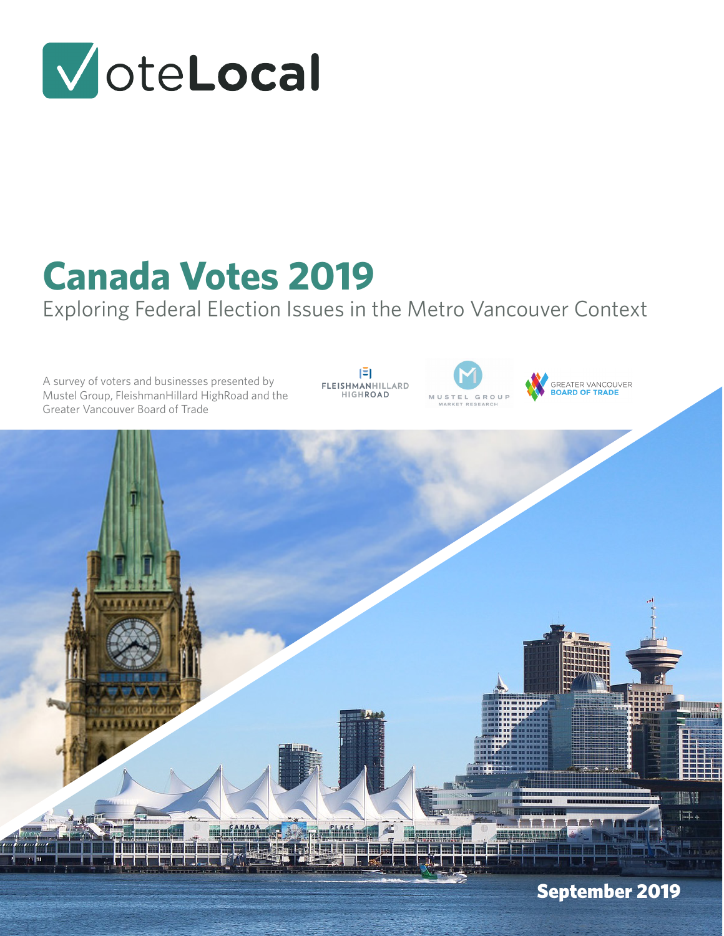

# **Canada Votes 2019**

Exploring Federal Election Issues in the Metro Vancouver Context

A survey of voters and businesses presented by Mustel Group, FleishmanHillard HighRoad and the Greater Vancouver Board of Trade

 $|\bar{z}|$ FLEISHMANHILLARD<br>HIGHROAD



GREATER VANCOUVER<br>**BOARD OF TRADE** 

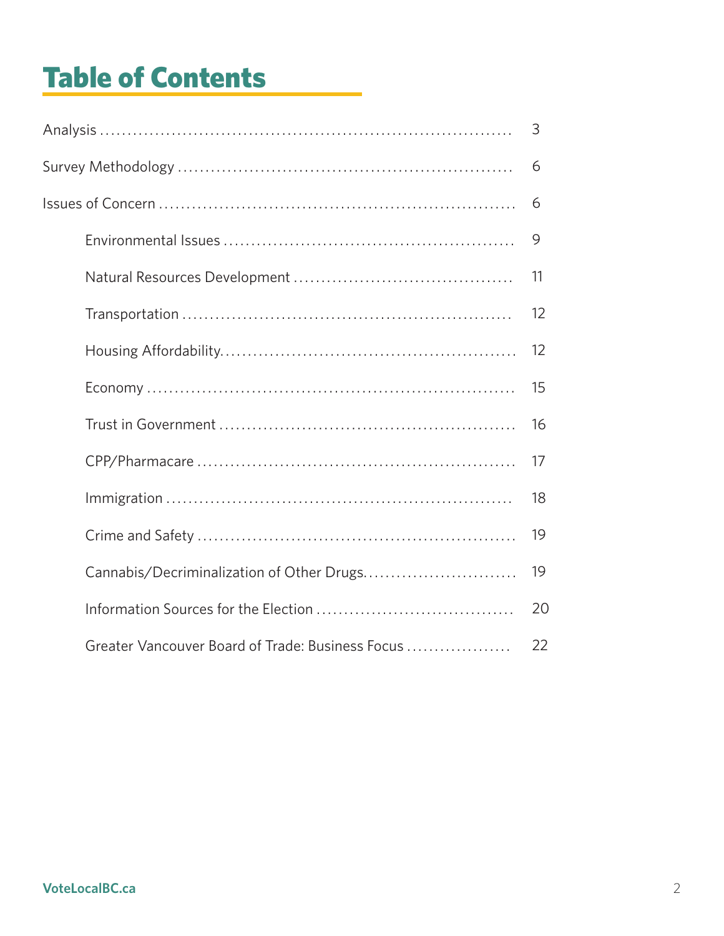# Table of Contents

|                                                  | 3  |
|--------------------------------------------------|----|
|                                                  | 6  |
|                                                  |    |
|                                                  | 9  |
|                                                  | 11 |
|                                                  | 12 |
|                                                  | 12 |
|                                                  | 15 |
|                                                  | 16 |
|                                                  | 17 |
|                                                  | 18 |
|                                                  | 19 |
|                                                  | 19 |
|                                                  | 20 |
| Greater Vancouver Board of Trade: Business Focus | 22 |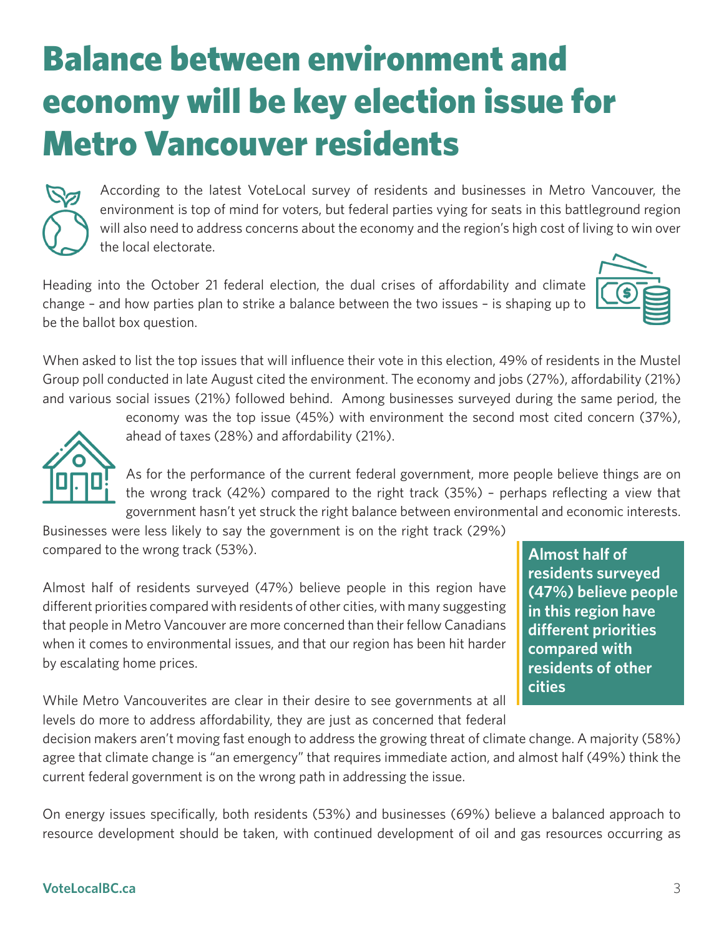# <span id="page-2-0"></span>Balance between environment and economy will be key election issue for Metro Vancouver residents



According to the latest VoteLocal survey of residents and businesses in Metro Vancouver, the environment is top of mind for voters, but federal parties vying for seats in this battleground region will also need to address concerns about the economy and the region's high cost of living to win over the local electorate.

Heading into the October 21 federal election, the dual crises of affordability and climate change – and how parties plan to strike a balance between the two issues – is shaping up to be the ballot box question.



When asked to list the top issues that will influence their vote in this election, 49% of residents in the Mustel Group poll conducted in late August cited the environment. The economy and jobs (27%), affordability (21%) and various social issues (21%) followed behind. Among businesses surveyed during the same period, the

ahead of taxes (28%) and affordability (21%).

As for the performance of the current federal government, more people believe things are on the wrong track (42%) compared to the right track (35%) – perhaps reflecting a view that government hasn't yet struck the right balance between environmental and economic interests.

economy was the top issue (45%) with environment the second most cited concern (37%),

Businesses were less likely to say the government is on the right track (29%) compared to the wrong track (53%).

Almost half of residents surveyed (47%) believe people in this region have different priorities compared with residents of other cities, with many suggesting that people in Metro Vancouver are more concerned than their fellow Canadians when it comes to environmental issues, and that our region has been hit harder by escalating home prices.

**Almost half of residents surveyed (47%) believe people in this region have different priorities compared with residents of other cities**

While Metro Vancouverites are clear in their desire to see governments at all levels do more to address affordability, they are just as concerned that federal

decision makers aren't moving fast enough to address the growing threat of climate change. A majority (58%) agree that climate change is "an emergency" that requires immediate action, and almost half (49%) think the current federal government is on the wrong path in addressing the issue.

On energy issues specifically, both residents (53%) and businesses (69%) believe a balanced approach to resource development should be taken, with continued development of oil and gas resources occurring as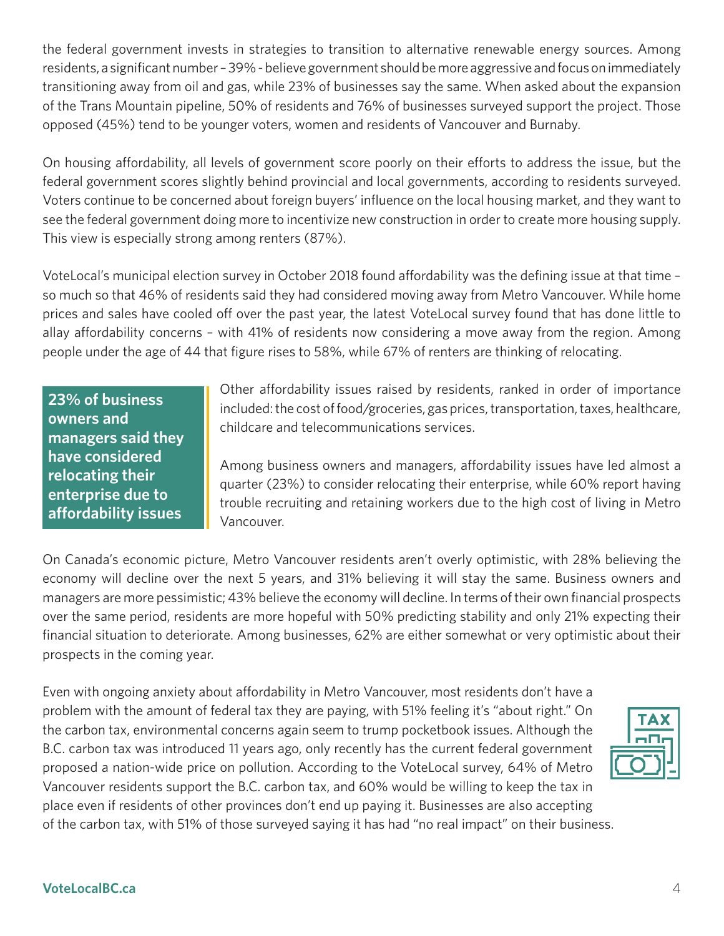the federal government invests in strategies to transition to alternative renewable energy sources. Among residents, a significant number – 39% - believe government should be more aggressive and focus on immediately transitioning away from oil and gas, while 23% of businesses say the same. When asked about the expansion of the Trans Mountain pipeline, 50% of residents and 76% of businesses surveyed support the project. Those opposed (45%) tend to be younger voters, women and residents of Vancouver and Burnaby.

On housing affordability, all levels of government score poorly on their efforts to address the issue, but the federal government scores slightly behind provincial and local governments, according to residents surveyed. Voters continue to be concerned about foreign buyers' influence on the local housing market, and they want to see the federal government doing more to incentivize new construction in order to create more housing supply. This view is especially strong among renters (87%).

VoteLocal's municipal election survey in October 2018 found affordability was the defining issue at that time – so much so that 46% of residents said they had considered moving away from Metro Vancouver. While home prices and sales have cooled off over the past year, the latest VoteLocal survey found that has done little to allay affordability concerns – with 41% of residents now considering a move away from the region. Among people under the age of 44 that figure rises to 58%, while 67% of renters are thinking of relocating.

**23% of business owners and managers said they have considered relocating their enterprise due to affordability issues**

Other affordability issues raised by residents, ranked in order of importance included: the cost of food/groceries, gas prices, transportation, taxes, healthcare, childcare and telecommunications services.

Among business owners and managers, affordability issues have led almost a quarter (23%) to consider relocating their enterprise, while 60% report having trouble recruiting and retaining workers due to the high cost of living in Metro Vancouver.

On Canada's economic picture, Metro Vancouver residents aren't overly optimistic, with 28% believing the economy will decline over the next 5 years, and 31% believing it will stay the same. Business owners and managers are more pessimistic; 43% believe the economy will decline. In terms of their own financial prospects over the same period, residents are more hopeful with 50% predicting stability and only 21% expecting their financial situation to deteriorate. Among businesses, 62% are either somewhat or very optimistic about their prospects in the coming year.

Even with ongoing anxiety about affordability in Metro Vancouver, most residents don't have a problem with the amount of federal tax they are paying, with 51% feeling it's "about right." On the carbon tax, environmental concerns again seem to trump pocketbook issues. Although the B.C. carbon tax was introduced 11 years ago, only recently has the current federal government proposed a nation-wide price on pollution. According to the VoteLocal survey, 64% of Metro Vancouver residents support the B.C. carbon tax, and 60% would be willing to keep the tax in place even if residents of other provinces don't end up paying it. Businesses are also accepting of the carbon tax, with 51% of those surveyed saying it has had "no real impact" on their business.

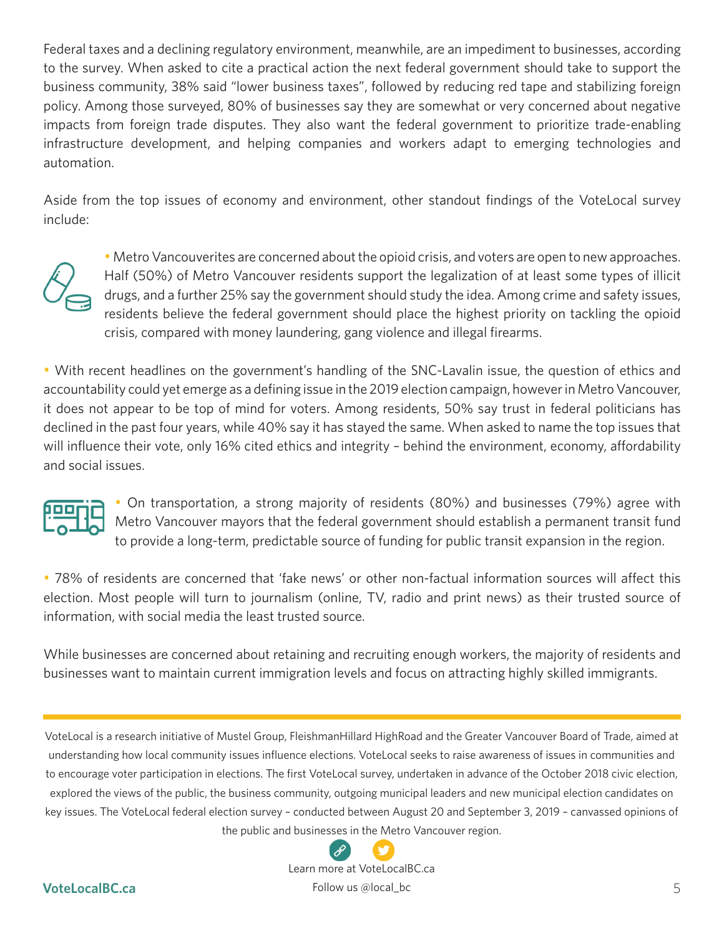Federal taxes and a declining regulatory environment, meanwhile, are an impediment to businesses, according to the survey. When asked to cite a practical action the next federal government should take to support the business community, 38% said "lower business taxes", followed by reducing red tape and stabilizing foreign policy. Among those surveyed, 80% of businesses say they are somewhat or very concerned about negative impacts from foreign trade disputes. They also want the federal government to prioritize trade-enabling infrastructure development, and helping companies and workers adapt to emerging technologies and automation.

Aside from the top issues of economy and environment, other standout findings of the VoteLocal survey include:



• Metro Vancouverites are concerned about the opioid crisis, and voters are open to new approaches. Half (50%) of Metro Vancouver residents support the legalization of at least some types of illicit drugs, and a further 25% say the government should study the idea. Among crime and safety issues, residents believe the federal government should place the highest priority on tackling the opioid crisis, compared with money laundering, gang violence and illegal firearms.

• With recent headlines on the government's handling of the SNC-Lavalin issue, the question of ethics and accountability could yet emerge as a defining issue in the 2019 election campaign, however in Metro Vancouver, it does not appear to be top of mind for voters. Among residents, 50% say trust in federal politicians has declined in the past four years, while 40% say it has stayed the same. When asked to name the top issues that will influence their vote, only 16% cited ethics and integrity – behind the environment, economy, affordability and social issues.



• On transportation, a strong majority of residents (80%) and businesses (79%) agree with Metro Vancouver mayors that the federal government should establish a permanent transit fund to provide a long-term, predictable source of funding for public transit expansion in the region.

• 78% of residents are concerned that 'fake news' or other non-factual information sources will affect this election. Most people will turn to journalism (online, TV, radio and print news) as their trusted source of information, with social media the least trusted source.

While businesses are concerned about retaining and recruiting enough workers, the majority of residents and businesses want to maintain current immigration levels and focus on attracting highly skilled immigrants.

VoteLocal is a research initiative of Mustel Group, FleishmanHillard HighRoad and the Greater Vancouver Board of Trade, aimed at understanding how local community issues influence elections. VoteLocal seeks to raise awareness of issues in communities and to encourage voter participation in elections. The first VoteLocal survey, undertaken in advance of the October 2018 civic election, explored the views of the public, the business community, outgoing municipal leaders and new municipal election candidates on key issues. The VoteLocal federal election survey – conducted between August 20 and September 3, 2019 – canvassed opinions of the public and busin[esses in](https://www.votelocalbc.ca/) [the Me](https://twitter.com/local_bc)tro Vancouver region.



Learn more at VoteLocalBC.ca

#### **VoteLocalBC.ca** 5 Follow us @local\_bc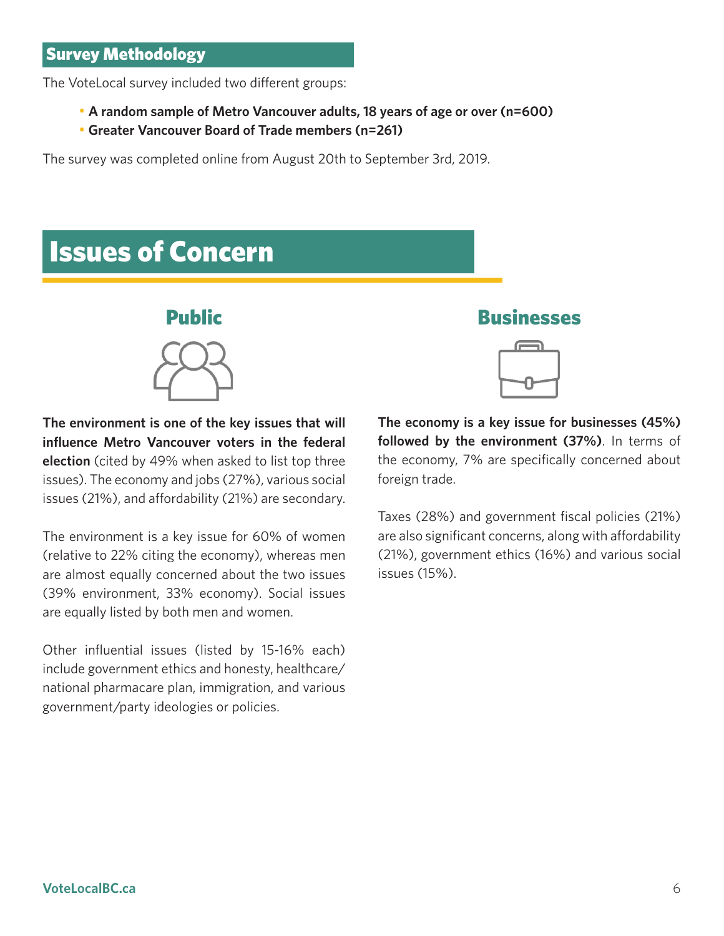<span id="page-5-0"></span>The VoteLocal survey included two different groups:

- **A random sample of Metro Vancouver adults, 18 years of age or over (n=600)**
- **Greater Vancouver Board of Trade members (n=261)**

The survey was completed online from August 20th to September 3rd, 2019.

### Issues of Concern





**The environment is one of the key issues that will influence Metro Vancouver voters in the federal election** (cited by 49% when asked to list top three issues). The economy and jobs (27%), various social issues (21%), and affordability (21%) are secondary.

The environment is a key issue for 60% of women (relative to 22% citing the economy), whereas men are almost equally concerned about the two issues (39% environment, 33% economy). Social issues are equally listed by both men and women.

Other influential issues (listed by 15-16% each) include government ethics and honesty, healthcare/ national pharmacare plan, immigration, and various government/party ideologies or policies.

Public Businesses



**The economy is a key issue for businesses (45%) followed by the environment (37%)**. In terms of the economy, 7% are specifically concerned about foreign trade.

Taxes (28%) and government fiscal policies (21%) are also significant concerns, along with affordability (21%), government ethics (16%) and various social issues (15%).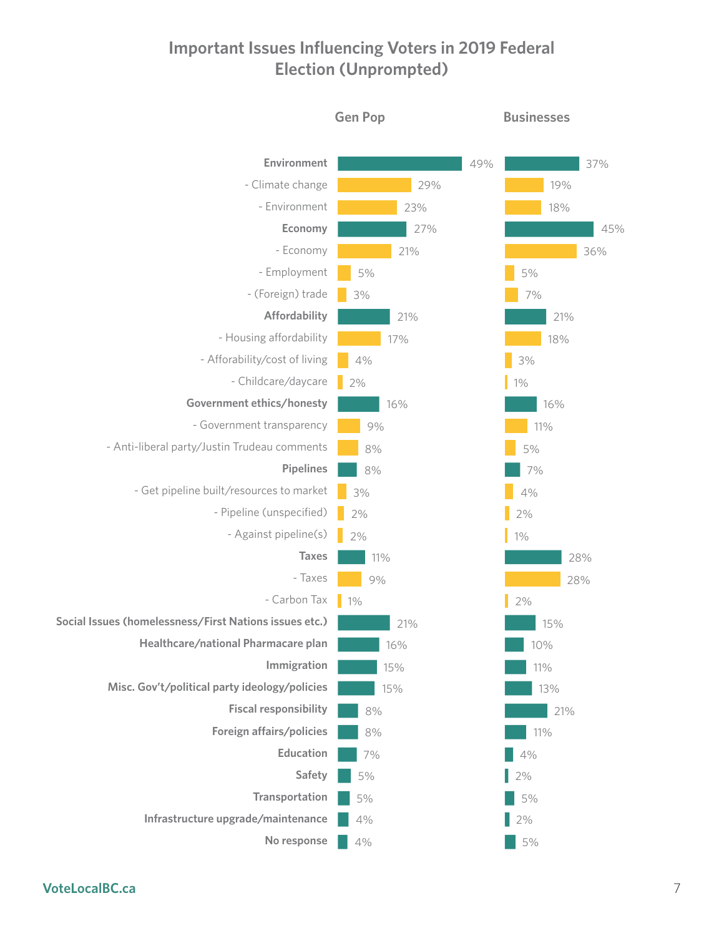### **Important Issues Influencing Voters in 2019 Federal Election (Unprompted)**



**VoteLocalBC.ca** 7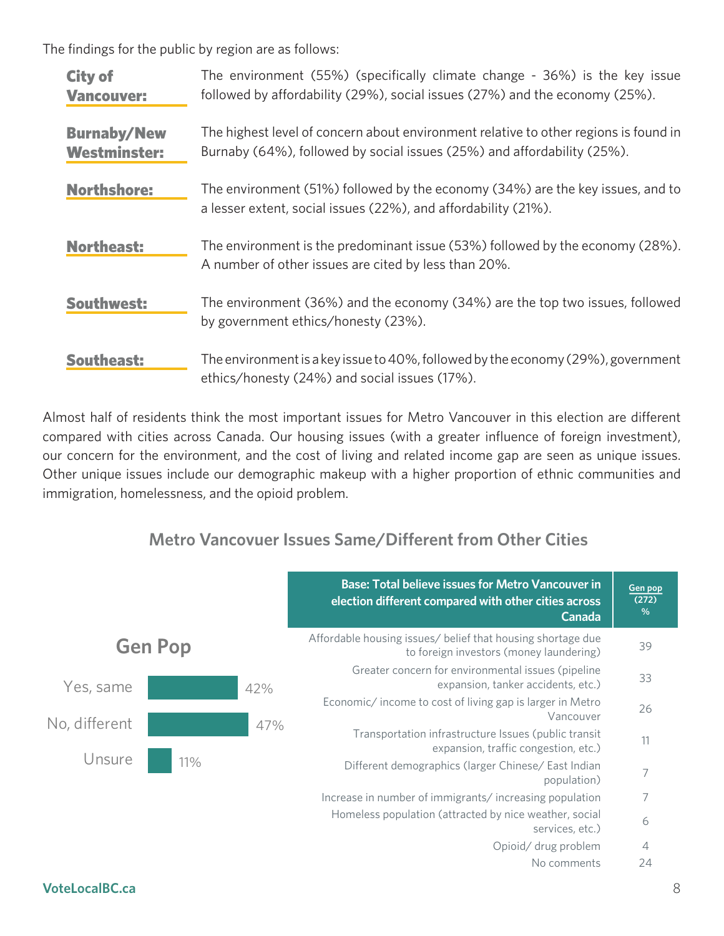The findings for the public by region are as follows:

| <b>City of</b><br><b>Vancouver:</b>       | The environment (55%) (specifically climate change - 36%) is the key issue<br>followed by affordability (29%), social issues (27%) and the economy (25%).       |
|-------------------------------------------|-----------------------------------------------------------------------------------------------------------------------------------------------------------------|
| <b>Burnaby/New</b><br><b>Westminster:</b> | The highest level of concern about environment relative to other regions is found in<br>Burnaby (64%), followed by social issues (25%) and affordability (25%). |
| <b>Northshore:</b>                        | The environment (51%) followed by the economy (34%) are the key issues, and to<br>a lesser extent, social issues (22%), and affordability (21%).                |
| <b>Northeast:</b>                         | The environment is the predominant issue (53%) followed by the economy (28%).<br>A number of other issues are cited by less than 20%.                           |
| Southwest:                                | The environment (36%) and the economy (34%) are the top two issues, followed<br>by government ethics/honesty (23%).                                             |
| <b>Southeast:</b>                         | The environment is a key issue to 40%, followed by the economy (29%), government<br>ethics/honesty (24%) and social issues (17%).                               |

Almost half of residents think the most important issues for Metro Vancouver in this election are different compared with cities across Canada. Our housing issues (with a greater influence of foreign investment), our concern for the environment, and the cost of living and related income gap are seen as unique issues. Other unique issues include our demographic makeup with a higher proportion of ethnic communities and immigration, homelessness, and the opioid problem.

### **Metro Vancovuer Issues Same/Different from Other Cities**

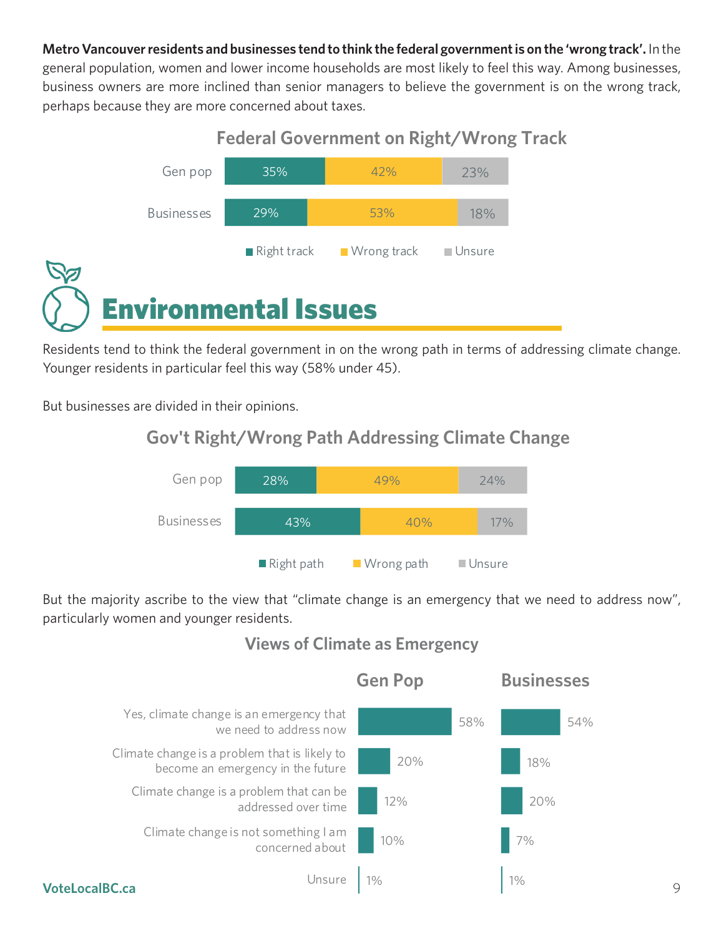<span id="page-8-0"></span>**Metro Vancouver residents and businesses tend to think the federal government is on the 'wrong track'.** In the general population, women and lower income households are most likely to feel this way. Among businesses, business owners are more inclined than senior managers to believe the government is on the wrong track, perhaps because they are more concerned about taxes.



Residents tend to think the federal government in on the wrong path in terms of addressing climate change. Younger residents in particular feel this way (58% under 45).

But businesses are divided in their opinions.

### **Gov't Right/Wrong Path Addressing Climate Change**



But the majority ascribe to the view that "climate change is an emergency that we need to address now", particularly women and younger residents.



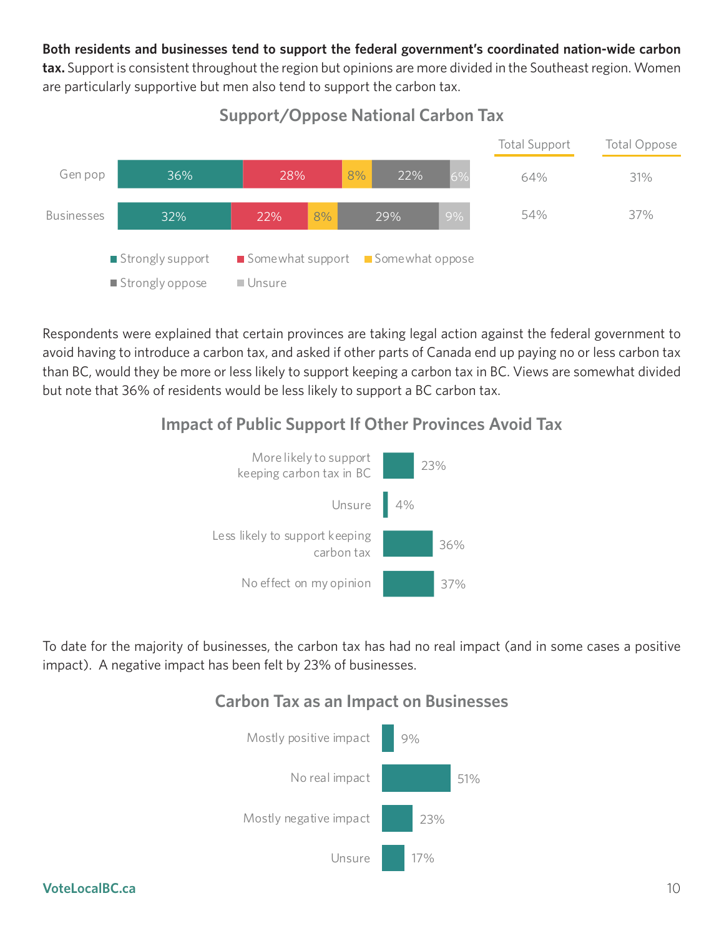#### **Both residents and businesses tend to support the federal government's coordinated nation-wide carbon**

**tax.** Support is consistent throughout the region but opinions are more divided in the Southeast region. Women are particularly supportive but men also tend to support the carbon tax.



### **Support/Oppose National Carbon Tax**

Respondents were explained that certain provinces are taking legal action against the federal government to avoid having to introduce a carbon tax, and asked if other parts of Canada end up paying no or less carbon tax than BC, would they be more or less likely to support keeping a carbon tax in BC. Views are somewhat divided but note that 36% of residents would be less likely to support a BC carbon tax.

### **Impact of Public Support If Other Provinces Avoid Tax**



To date for the majority of businesses, the carbon tax has had no real impact (and in some cases a positive impact). A negative impact has been felt by 23% of businesses.

### **Carbon Tax as an Impact on Businesses**

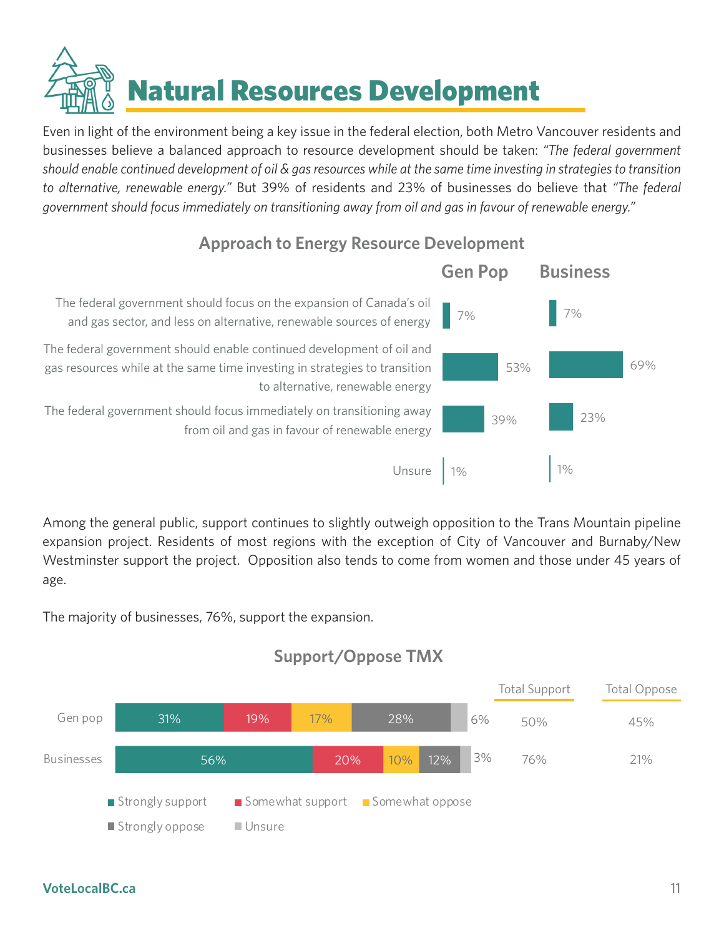Natural Resources Development

<span id="page-10-0"></span>Even in light of the environment being a key issue in the federal election, both Metro Vancouver residents and businesses believe a balanced approach to resource development should be taken: *"The federal government should enable continued development of oil & gas resources while at the same time investing in strategies to transition to alternative, renewable energy."* But 39% of residents and 23% of businesses do believe that *"The federal government should focus immediately on transitioning away from oil and gas in favour of renewable energy."*

### **Approach to Energy Resource Development**



Among the general public, support continues to slightly outweigh opposition to the Trans Mountain pipeline expansion project. Residents of most regions with the exception of City of Vancouver and Burnaby/New Westminster support the project. Opposition also tends to come from women and those under 45 years of age.

The majority of businesses, 76%, support the expansion.



### **Support/Oppose TMX**

#### **VoteLocalBC.ca** 11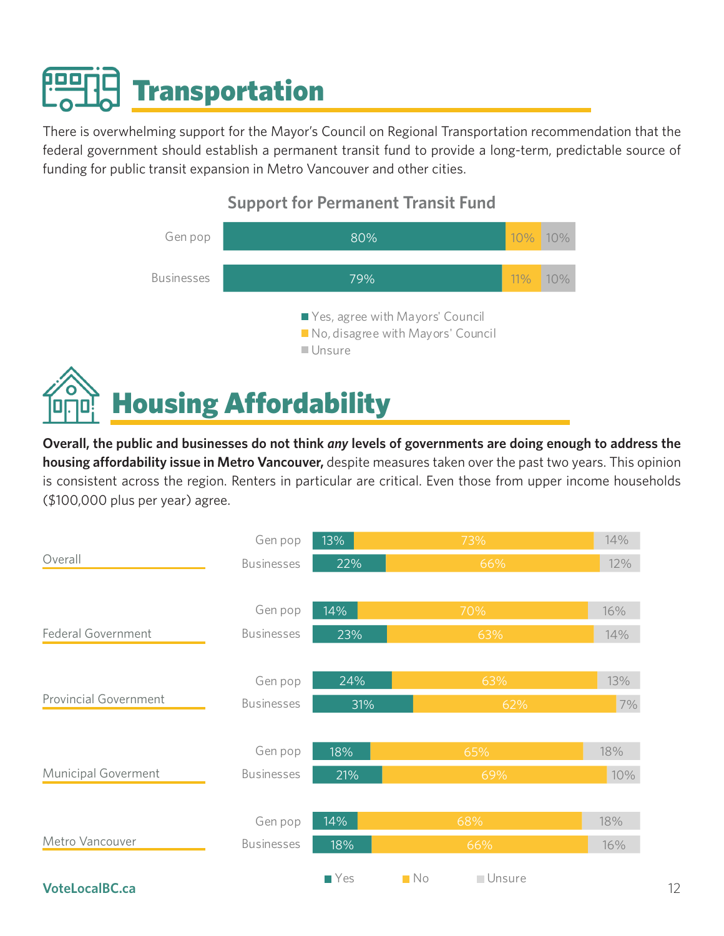# <span id="page-11-0"></span>**Transportation**

There is overwhelming support for the Mayor's Council on Regional Transportation recommendation that the federal government should establish a permanent transit fund to provide a long-term, predictable source of funding for public transit expansion in Metro Vancouver and other cities.



### **Support for Permanent Transit Fund**

**Overall, the public and businesses do not think** *any* **levels of governments are doing enough to address the housing affordability issue in Metro Vancouver,** despite measures taken over the past two years. This opinion is consistent across the region. Renters in particular are critical. Even those from upper income households (\$100,000 plus per year) agree.

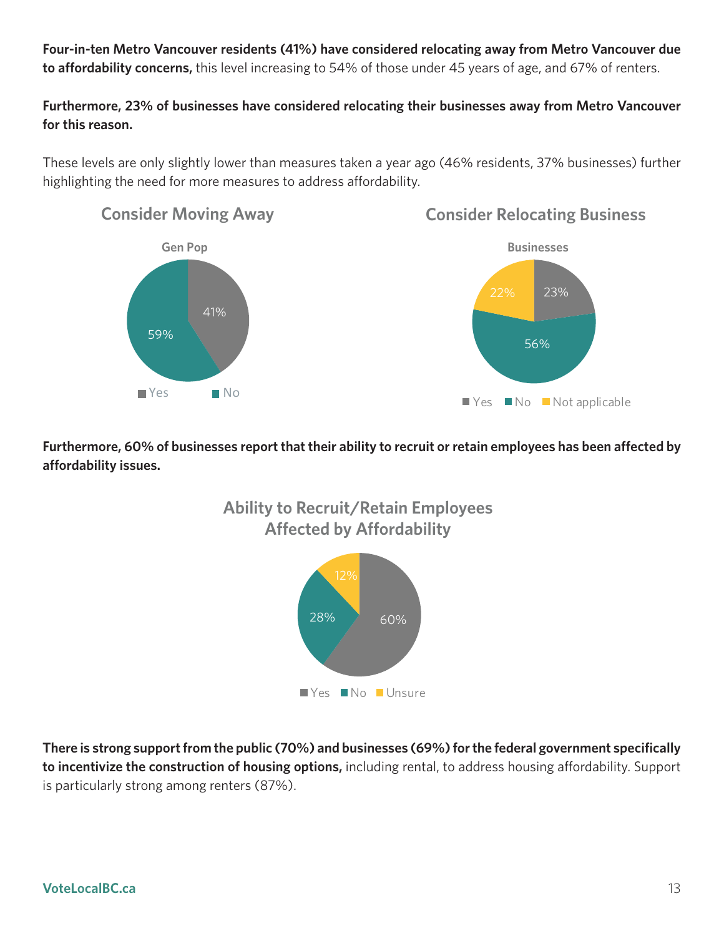**Four-in-ten Metro Vancouver residents (41%) have considered relocating away from Metro Vancouver due to affordability concerns,** this level increasing to 54% of those under 45 years of age, and 67% of renters.

#### **Furthermore, 23% of businesses have considered relocating their businesses away from Metro Vancouver for this reason.**

These levels are only slightly lower than measures taken a year ago (46% residents, 37% businesses) further highlighting the need for more measures to address affordability.



### **Consider Relocating Business**



**Furthermore, 60% of businesses report that their ability to recruit or retain employees has been affected by affordability issues.**



**There is strong support from the public (70%) and businesses (69%) for the federal government specifically to incentivize the construction of housing options,** including rental, to address housing affordability. Support is particularly strong among renters (87%).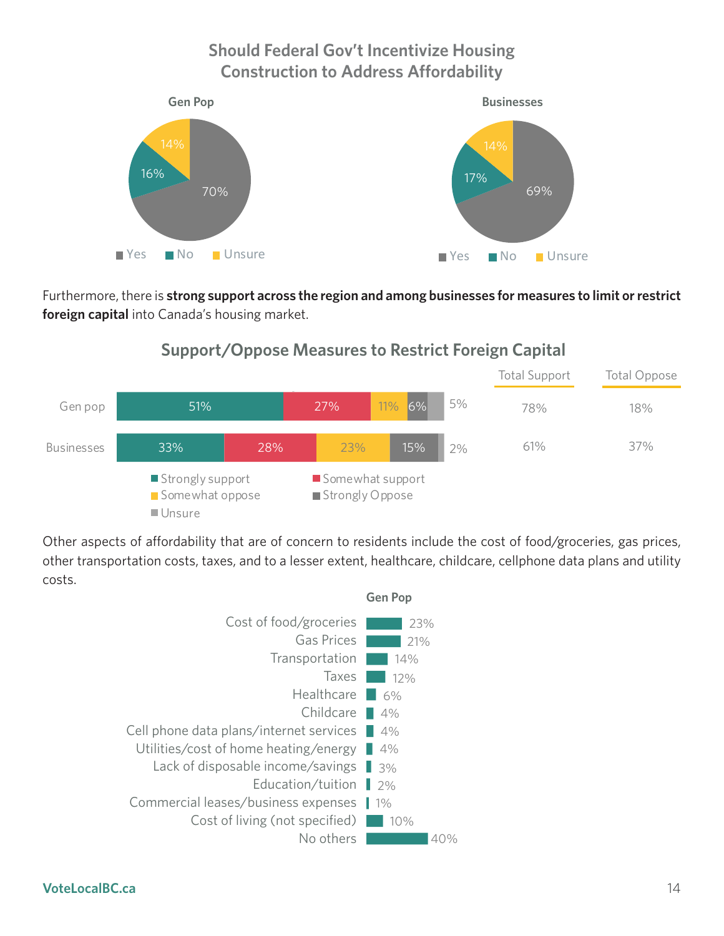### **Should Federal Gov't Incentivize Housing Construction to Address Affordability**



Furthermore, there is **strong support across the region and among businesses for measures to limit or restrict foreign capital** into Canada's housing market.

### **Support/Oppose Measures to Restrict Foreign Support/Oppose Measures to Restrict Foreign Capital**



Other aspects of affordability that are of concern to residents include the cost of food/groceries, gas prices, other transportation costs, taxes, and to a lesser extent, healthcare, childcare, cellphone data plans and utility costs.

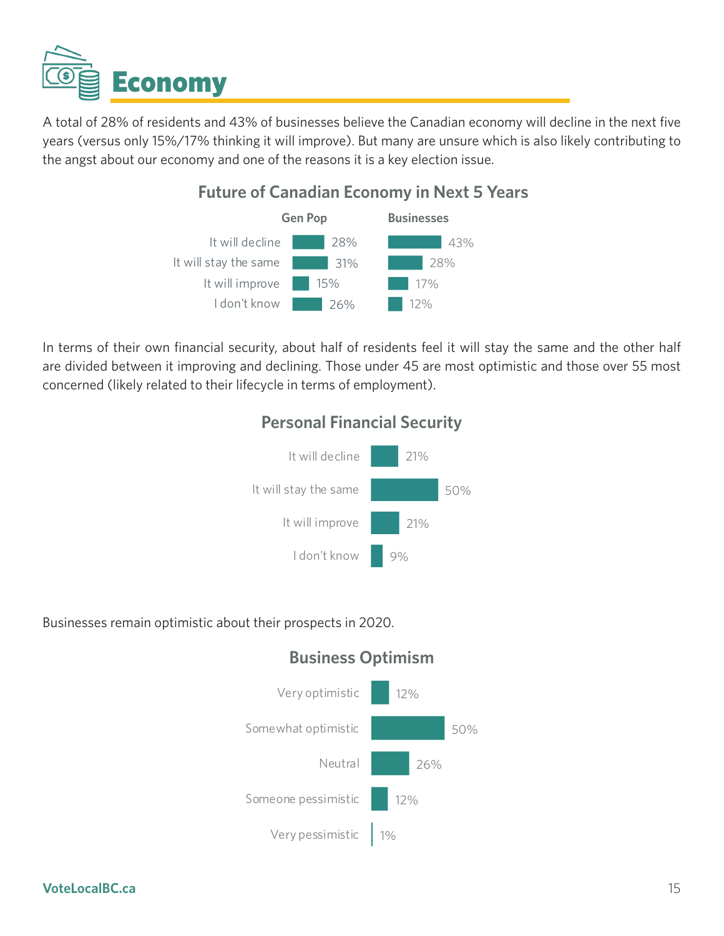<span id="page-14-0"></span>

A total of 28% of residents and 43% of businesses believe the Canadian economy will decline in the next five years (versus only 15%/17% thinking it will improve). But many are unsure which is also likely contributing to the angst about our economy and one of the reasons it is a key election issue.

### **Future of Canadian Economy in Next 5 Years**



In terms of their own financial security, about half of residents feel it will stay the same and the other half are divided between it improving and declining. Those under 45 are most optimistic and those over 55 most concerned (likely related to their lifecycle in terms of employment).

### **Personal Financial Security**



Businesses remain optimistic about their prospects in 2020.



### **Business Optimism**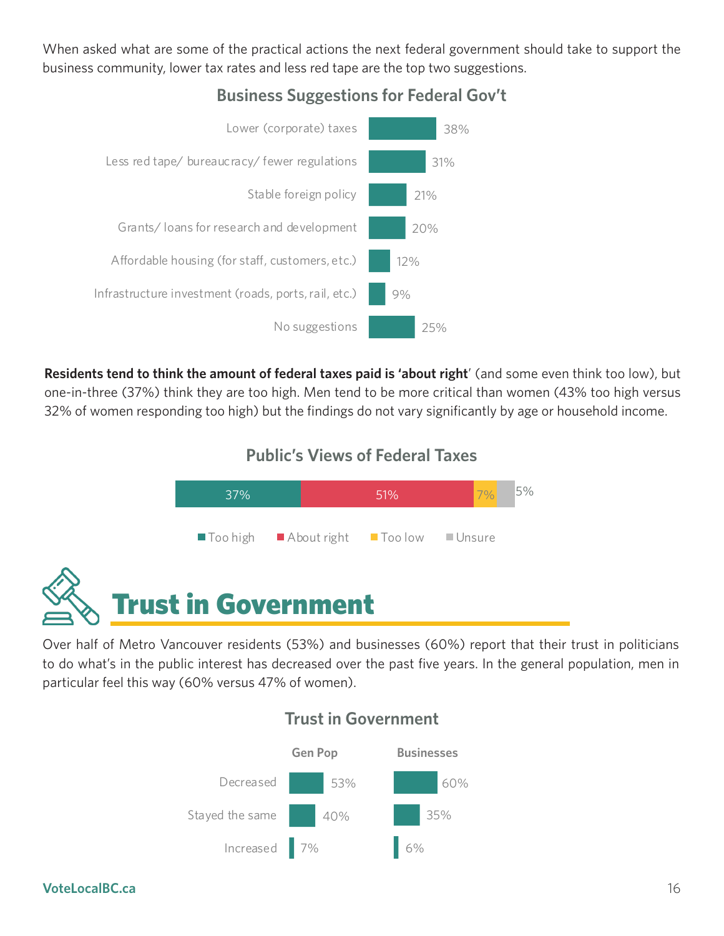<span id="page-15-0"></span>When asked what are some of the practical actions the next federal government should take to support the business community, lower tax rates and less red tape are the top two suggestions.



### **Business Suggestions for Federal Gov't**

**Residents tend to think the amount of federal taxes paid is 'about right**' (and some even think too low), but one-in-three (37%) think they are too high. Men tend to be more critical than women (43% too high versus 32% of women responding too high) but the findings do not vary significantly by age or household income.

### **Public's Views of Federal Taxes**



Over half of Metro Vancouver residents (53%) and businesses (60%) report that their trust in politicians to do what's in the public interest has decreased over the past five years. In the general population, men in particular feel this way (60% versus 47% of women).



### **Trust in Government**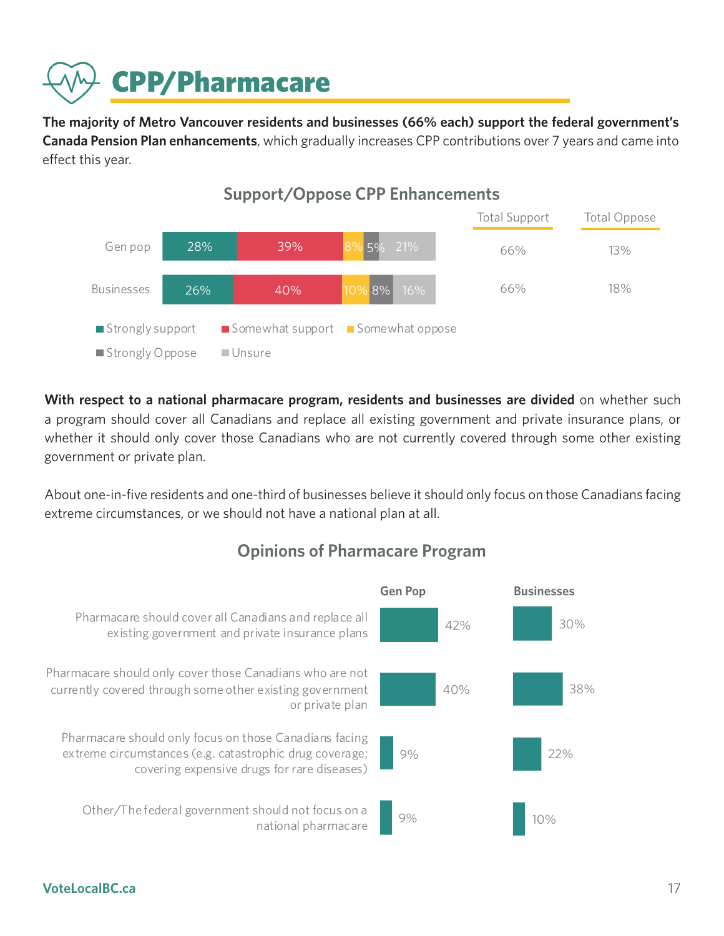<span id="page-16-0"></span>

**The majority of Metro Vancouver residents and businesses (66% each) support the federal government's Canada Pension Plan enhancements**, which gradually increases CPP contributions over 7 years and came into effect this year.



With respect to a national pharmacare program, residents and businesses are divided on whether such a program should cover all Canadians and replace all existing government and private insurance plans, or whether it should only cover those Canadians who are not currently covered through some other existing government or private plan.

About one-in-five residents and one-third of businesses believe it should only focus on those Canadians facing extreme circumstances, or we should not have a national plan at all.



### **Opinions of Pharmacare Program**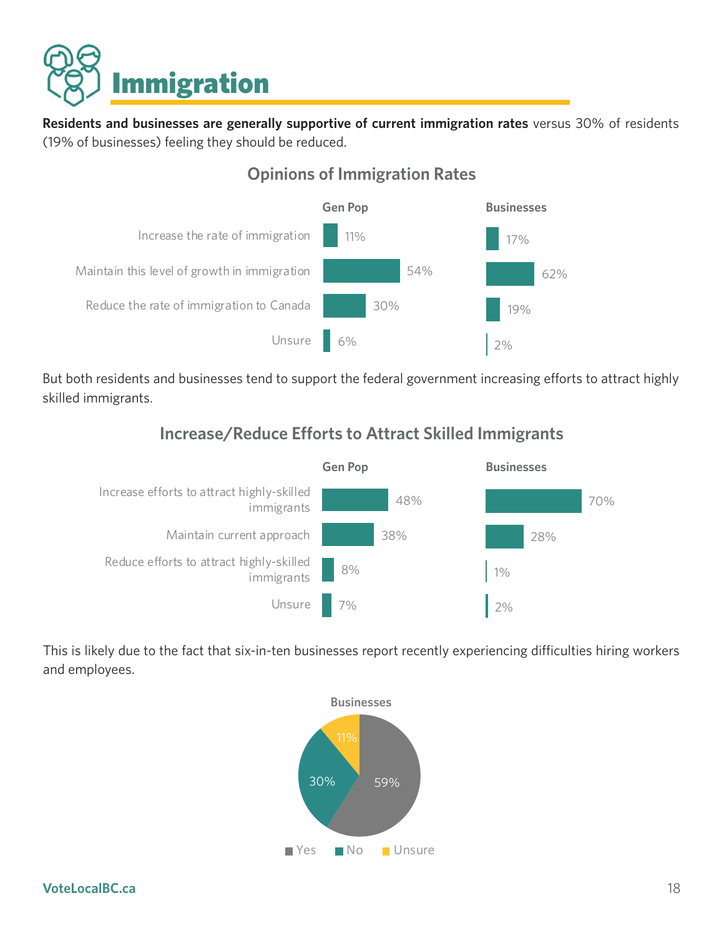<span id="page-17-0"></span>

**Residents and businesses are generally supportive of current immigration rates** versus 30% of residents (19% of businesses) feeling they should be reduced.



### **Opinions of Immigration Rates**

But both residents and businesses tend to support the federal government increasing efforts to attract highly skilled immigrants.

### **Increase/Reduce Efforts to Attract Skilled Immigrants**



This is likely due to the fact that six-in-ten businesses report recently experiencing difficulties hiring workers and employees.

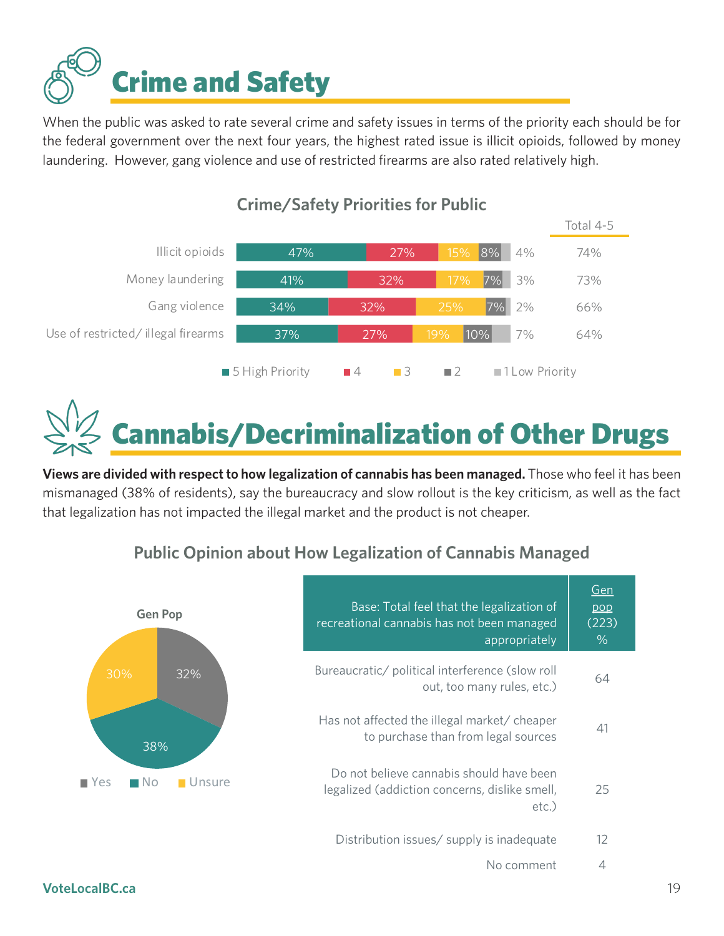<span id="page-18-0"></span>

When the public was asked to rate several crime and safety issues in terms of the priority each should be for the federal government over the next four years, the highest rated issue is illicit opioids, followed by money laundering. However, gang violence and use of restricted firearms are also rated relatively high.



### **Crime/Safety Priorities for Public**

annabis/Decriminalization of Other Drugs

**Views are divided with respect to how legalization of cannabis has been managed.** Those who feel it has been mismanaged (38% of residents), say the bureaucracy and slow rollout is the key criticism, as well as the fact that legalization has not impacted the illegal market and the product is not cheaper.

### **Public Opinion about How Legalization of Cannabis Managed**



| Base: Total feel that the legalization of<br>recreational cannabis has not been managed<br>appropriately | Gen<br>pop<br>(223)<br>$\%$ |
|----------------------------------------------------------------------------------------------------------|-----------------------------|
| Bureaucratic/ political interference (slow roll<br>out, too many rules, etc.)                            | 64                          |
| Has not affected the illegal market/ cheaper<br>to purchase than from legal sources                      | 41                          |
| Do not believe cannabis should have been<br>legalized (addiction concerns, dislike smell,<br>etc.)       | 25                          |
| Distribution issues/ supply is inadequate                                                                | 12                          |
| No comment                                                                                               | 4                           |

#### **VoteLocalBC.ca** 19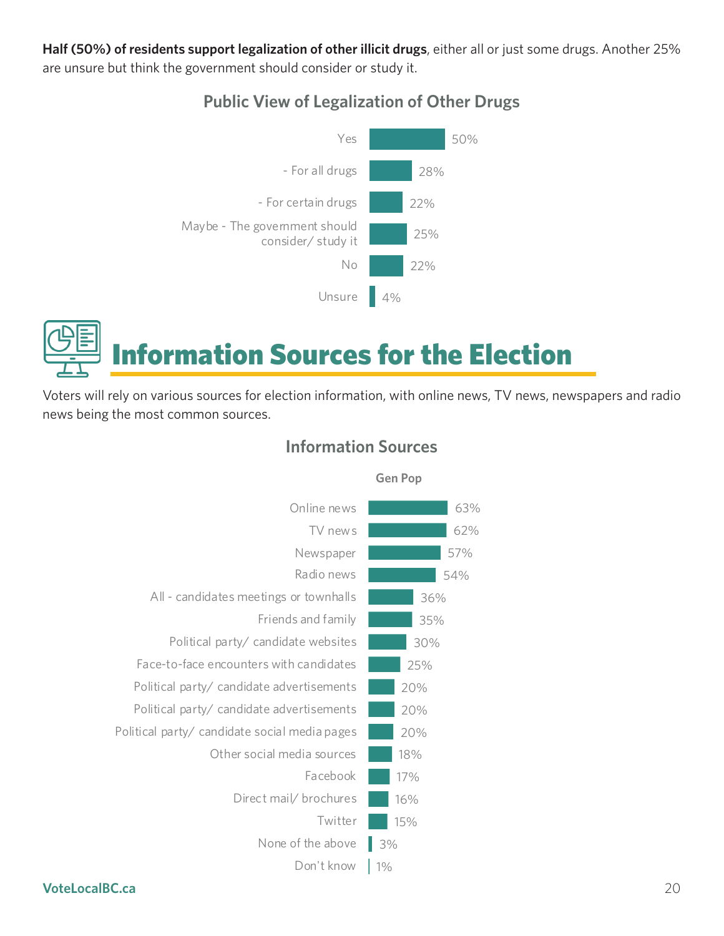<span id="page-19-0"></span>**Half (50%) of residents support legalization of other illicit drugs**, either all or just some drugs. Another 25% are unsure but think the government should consider or study it.

### **Public View of Legalization of Other Drugs**





Voters will rely on various sources for election information, with online news, TV news, newspapers and radio news being the most common sources.



### **Information Sources**

**Gen Pop**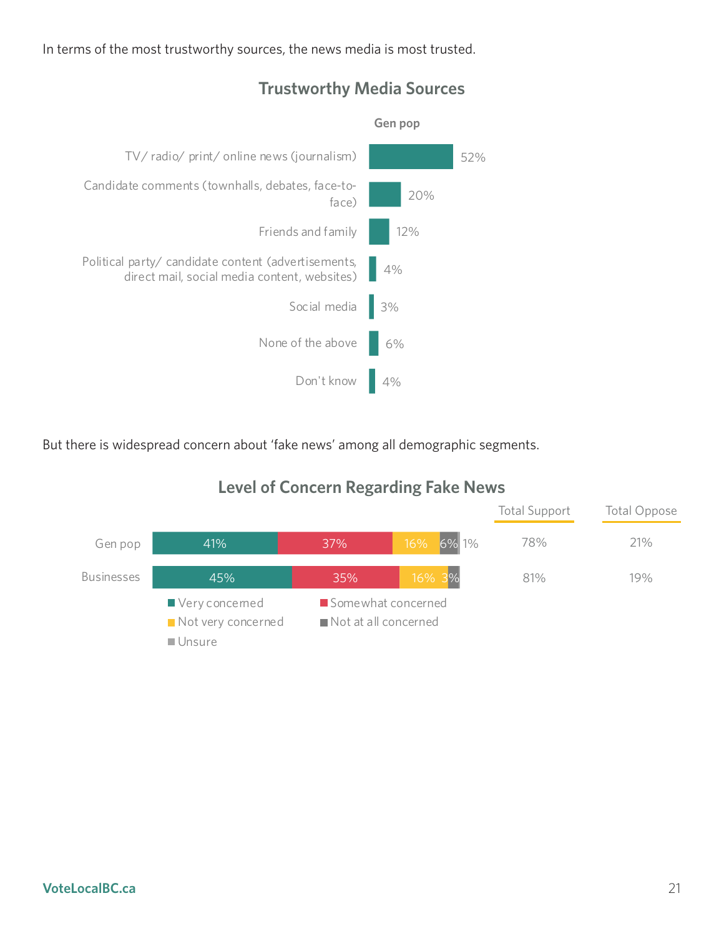In terms of the most trustworthy sources, the news media is most trusted.



### **Trustworthy Media Sources**

But there is widespread concern about 'fake news' among all demographic segments.



### **Level of Concern Regarding Fake News**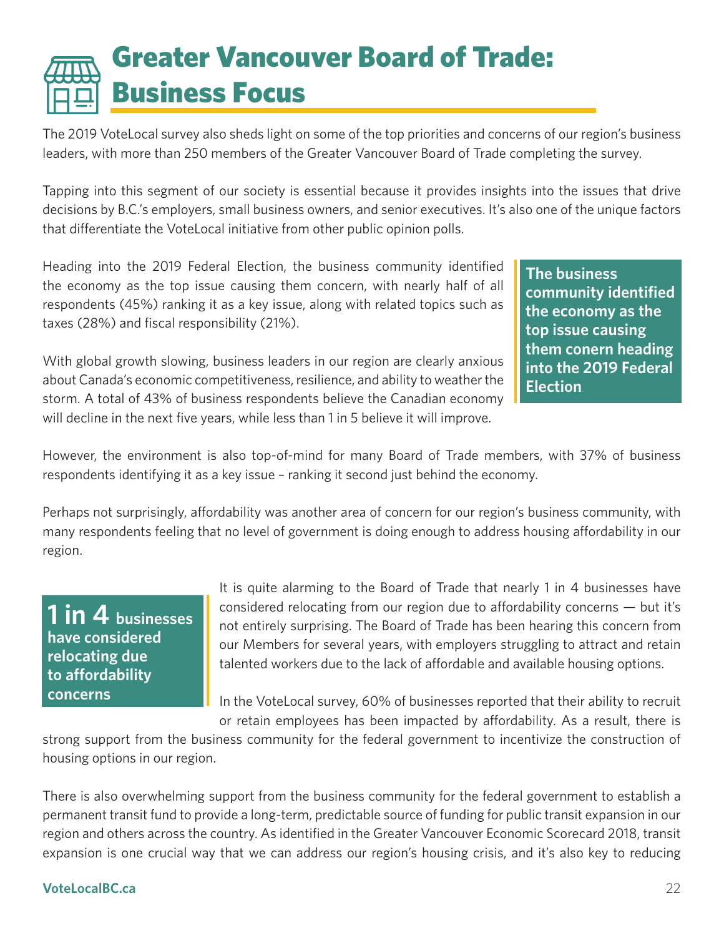## <span id="page-21-0"></span>Greater Vancouver Board of Trade: Business Focus

The 2019 VoteLocal survey also sheds light on some of the top priorities and concerns of our region's business leaders, with more than 250 members of the Greater Vancouver Board of Trade completing the survey.

Tapping into this segment of our society is essential because it provides insights into the issues that drive decisions by B.C.'s employers, small business owners, and senior executives. It's also one of the unique factors that differentiate the VoteLocal initiative from other public opinion polls.

Heading into the 2019 Federal Election, the business community identified the economy as the top issue causing them concern, with nearly half of all respondents (45%) ranking it as a key issue, along with related topics such as taxes (28%) and fiscal responsibility (21%).

With global growth slowing, business leaders in our region are clearly anxious about Canada's economic competitiveness, resilience, and ability to weather the storm. A total of 43% of business respondents believe the Canadian economy will decline in the next five years, while less than 1 in 5 believe it will improve.

**The business community identified the economy as the top issue causing them conern heading into the 2019 Federal Election**

However, the environment is also top-of-mind for many Board of Trade members, with 37% of business respondents identifying it as a key issue – ranking it second just behind the economy.

Perhaps not surprisingly, affordability was another area of concern for our region's business community, with many respondents feeling that no level of government is doing enough to address housing affordability in our region.

### **1 in 4 businesses have considered relocating due to affordability concerns**

It is quite alarming to the Board of Trade that nearly 1 in 4 businesses have considered relocating from our region due to affordability concerns — but it's not entirely surprising. The Board of Trade has been hearing this concern from our Members for several years, with employers struggling to attract and retain talented workers due to the lack of affordable and available housing options.

In the VoteLocal survey, 60% of businesses reported that their ability to recruit or retain employees has been impacted by affordability. As a result, there is

strong support from the business community for the federal government to incentivize the construction of housing options in our region.

There is also overwhelming support from the business community for the federal government to establish a permanent transit fund to provide a long-term, predictable source of funding for public transit expansion in our region and others across the country. As identified in the Greater Vancouver Economic Scorecard 2018, transit expansion is one crucial way that we can address our region's housing crisis, and it's also key to reducing

#### **VoteLocalBC.ca** 22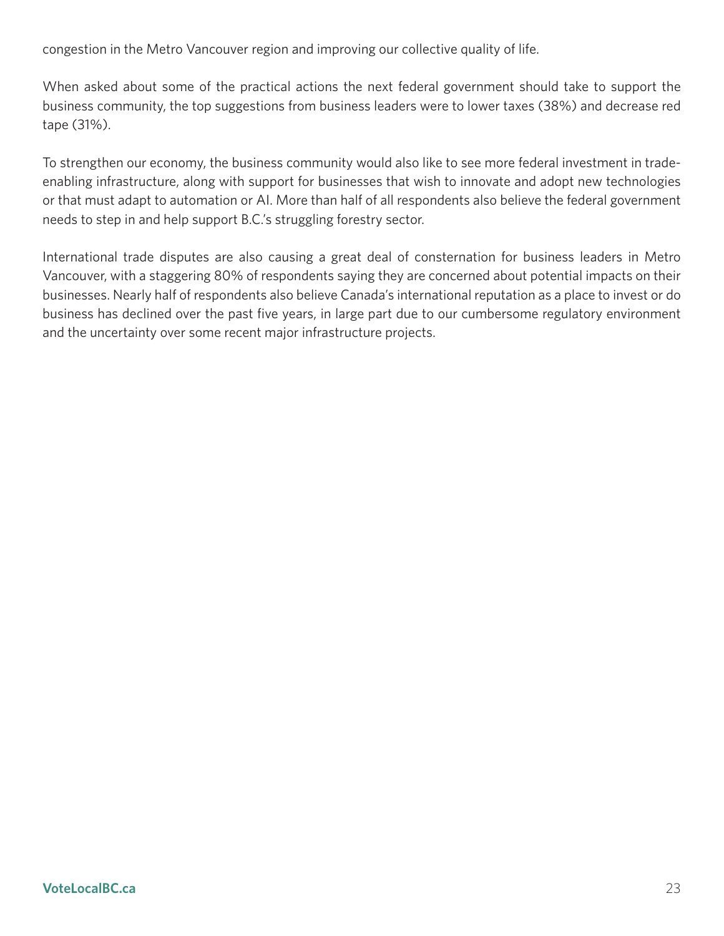congestion in the Metro Vancouver region and improving our collective quality of life.

When asked about some of the practical actions the next federal government should take to support the business community, the top suggestions from business leaders were to lower taxes (38%) and decrease red tape (31%).

To strengthen our economy, the business community would also like to see more federal investment in tradeenabling infrastructure, along with support for businesses that wish to innovate and adopt new technologies or that must adapt to automation or AI. More than half of all respondents also believe the federal government needs to step in and help support B.C.'s struggling forestry sector.

International trade disputes are also causing a great deal of consternation for business leaders in Metro Vancouver, with a staggering 80% of respondents saying they are concerned about potential impacts on their businesses. Nearly half of respondents also believe Canada's international reputation as a place to invest or do business has declined over the past five years, in large part due to our cumbersome regulatory environment and the uncertainty over some recent major infrastructure projects.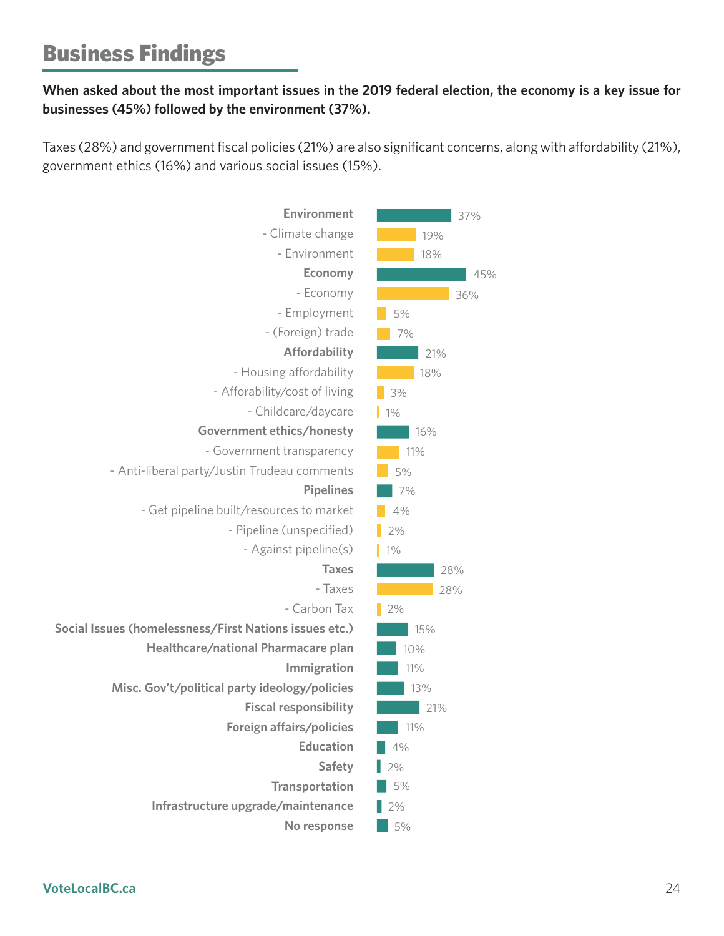### Business Findings

### **When asked about the most important issues in the 2019 federal election, the economy is a key issue for businesses (45%) followed by the environment (37%).**

Taxes (28%) and government fiscal policies (21%) are also significant concerns, along with affordability (21%), government ethics (16%) and various social issues (15%).

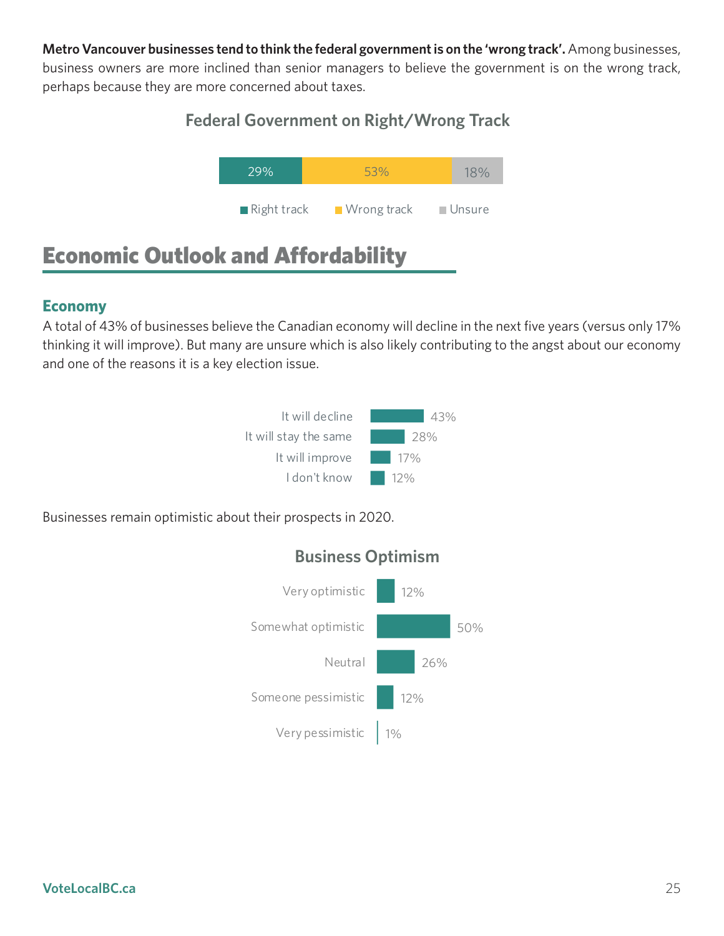**Metro Vancouver businesses tend to think the federal government is on the 'wrong track'.** Among businesses, business owners are more inclined than senior managers to believe the government is on the wrong track, perhaps because they are more concerned about taxes.<br>**Figure** 

### Federal Government on Right/Wrong Track



### Economic Outlook and Affordability

### **Economy**

A total of 43% of businesses believe the Canadian economy will decline in the next five years (versus only 17% thinking it will improve). But many are unsure which is also likely contributing to the angst about our economy and one of the reasons it is a key election issue.



Businesses remain optimistic about their prospects in 2020.



### **Business Optimism**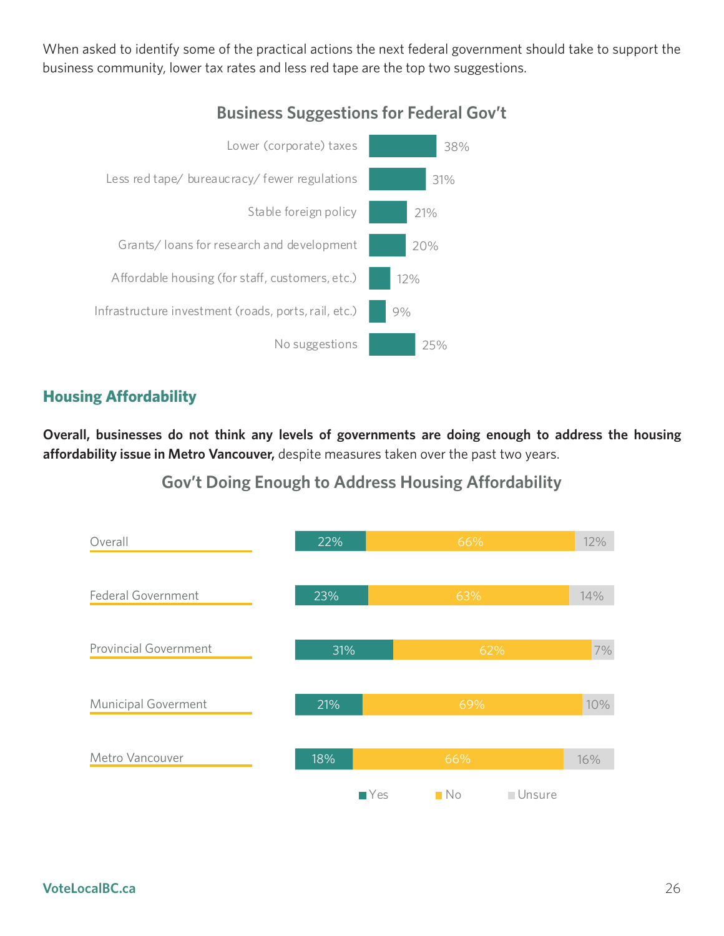When asked to identify some of the practical actions the next federal government should take to support the business community, lower tax rates and less red tape are the top two suggestions.



### **Business Suggestions for Federal Gov't**

### **Housing Affordability**

**Overall, businesses do not think any levels of governments are doing enough to address the housing affordability issue in Metro Vancouver,** despite measures taken over the past two years.

**Gov't Doing Enough to Address Housing Affordability**

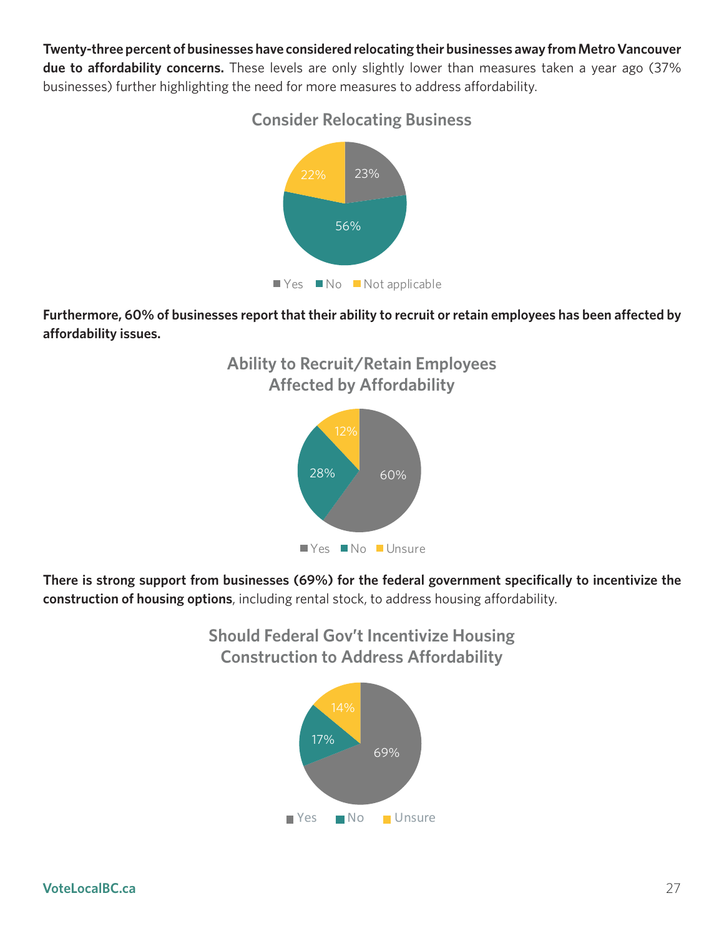**Twenty-three percent of businesses have considered relocating their businesses away from Metro Vancouver due to affordability concerns.** These levels are only slightly lower than measures taken a year ago (37% businesses) further highlighting the need for more measures to address affordability.



**Consider Relocating Business**

**Furthermore, 60% of businesses report that their ability to recruit or retain employees has been affected by affordability issues.**





**There is strong support from businesses (69%) for the federal government specifically to incentivize the construction of housing options**, including rental stock, to address housing affordability.

> **Should Federal Gov't Incentivize Housing Construction to Address Affordability**

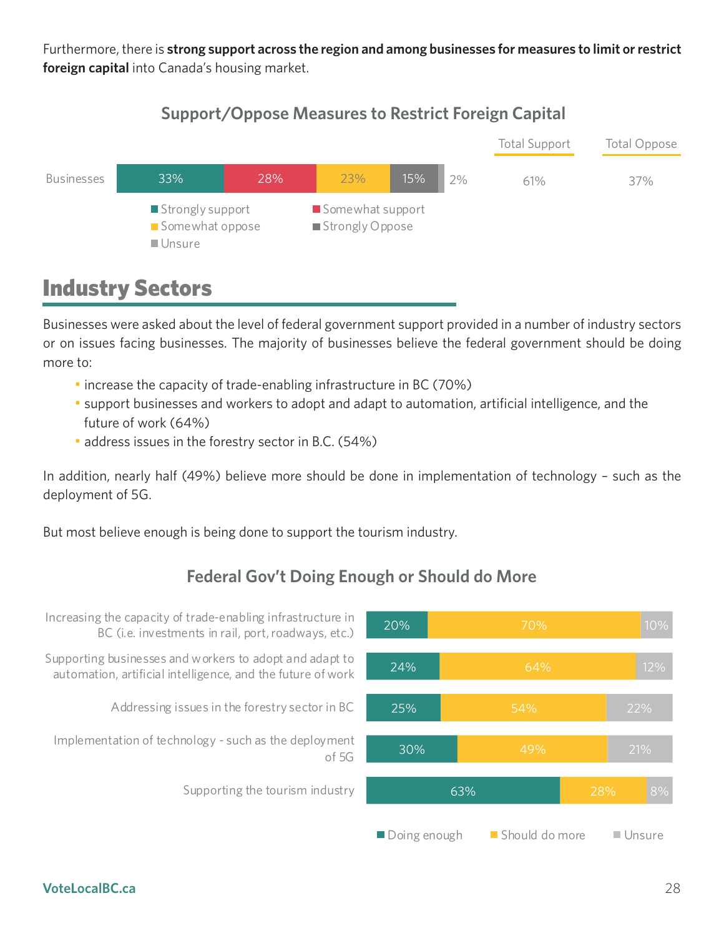Furthermore, there is **strong support across the region and among businesses for measures to limit or restrict foreign capital** into Canada's housing market.

### **Capital Support/Oppose Measures to Restrict Foreign Capital**



### Industry Sectors

Businesses were asked about the level of federal government support provided in a number of industry sectors or on issues facing businesses. The majority of businesses believe the federal government should be doing more to:

- increase the capacity of trade-enabling infrastructure in BC (70%)
- support businesses and workers to adopt and adapt to automation, artificial intelligence, and the future of work (64%)
- address issues in the forestry sector in B.C. (54%)

In addition, nearly half (49%) believe more should be done in implementation of technology – such as the deployment of 5G.

But most believe enough is being done to support the tourism industry.

### **Federal Gov't Doing Enough or Should do More**

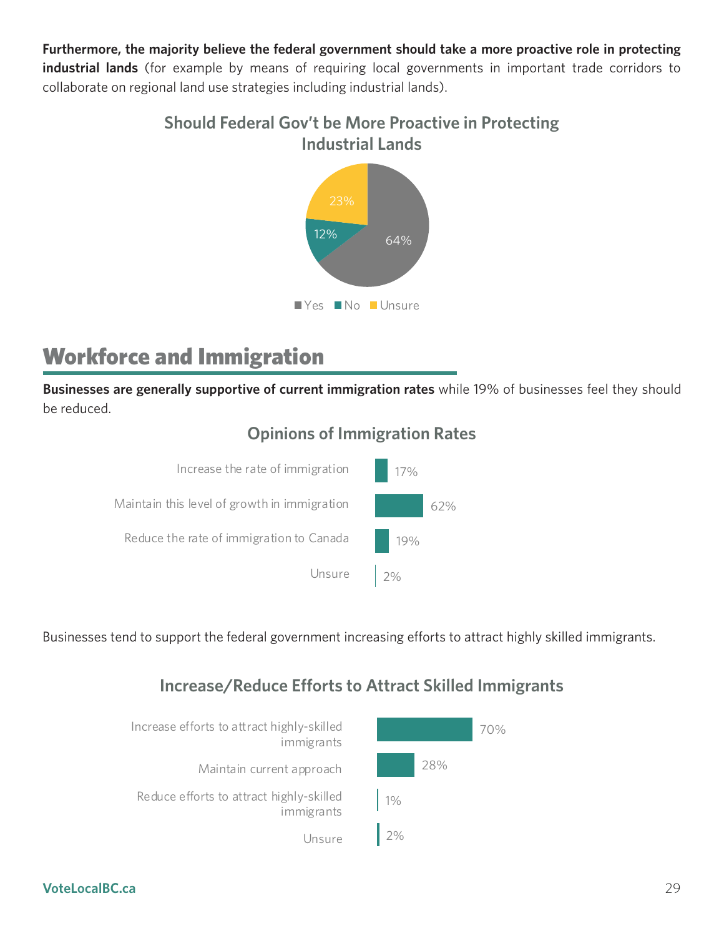**Furthermore, the majority believe the federal government should take a more proactive role in protecting industrial lands** (for example by means of requiring local governments in important trade corridors to collaborate on regional land use strategies including industrial lands).

> **Should Federal Gov't be More Proactive in Protecting Industrial Lands**



### Workforce and Immigration

**Businesses are generally supportive of current immigration rates** while 19% of businesses feel they should be reduced.

### **Opinions of Immigration Rates**



Businesses tend to support the federal government increasing efforts to attract highly skilled immigrants.

### **Increase/Reduce Efforts to Attract Skilled Immigrants**

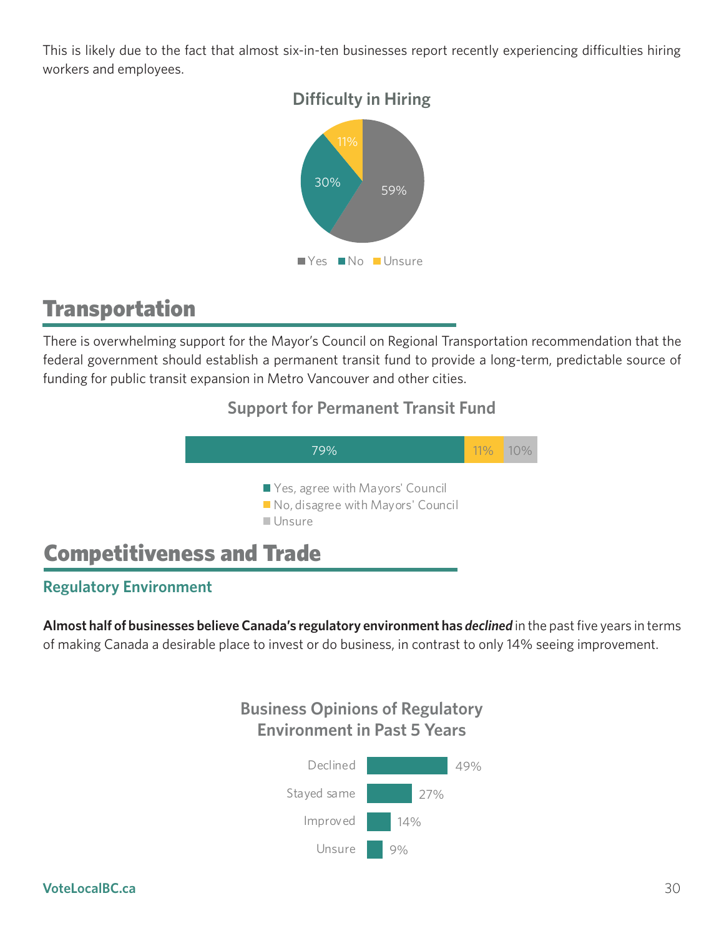This is likely due to the fact that almost six-in-ten businesses report recently experiencing difficulties hiring workers and employees.



### Transportation

There is overwhelming support for the Mayor's Council on Regional Transportation recommendation that the federal government should establish a permanent transit fund to provide a long-term, predictable source of funding for public transit expansion in Metro Vancouver and other cities.

### **Support for Permanent Transit Fund**



### **Regulatory Environment**

**Almost half of businesses believe Canada's regulatory environment has** *declined* in the past five years in terms of making Canada a desirable place to invest or do business, in contrast to only 14% seeing improvement.

### **Business Opinions of Regulatory Environment in Past 5 Years**

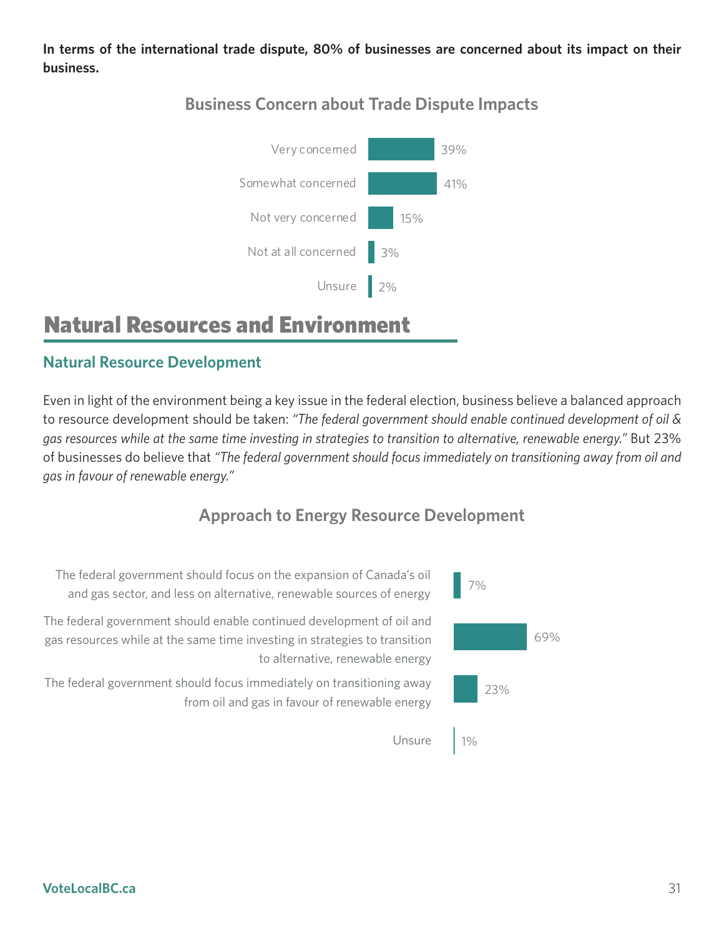**In terms of the international trade dispute, 80% of businesses are concerned about its impact on their business.**



### **Business Concern about Trade Dispute Impacts Businesses Concern about Trade Dispute Impacts**

### Natural Resources and Environment

### **Natural Resource Development**

Even in light of the environment being a key issue in the federal election, business believe a balanced approach to resource development should be taken: *"The federal government should enable continued development of oil & gas resources while at the same time investing in strategies to transition to alternative, renewable energy."* But 23% of businesses do believe that *"The federal government should focus immediately on transitioning away from oil and gas in favour of renewable energy."*

### **Approach to Energy Resource Development**

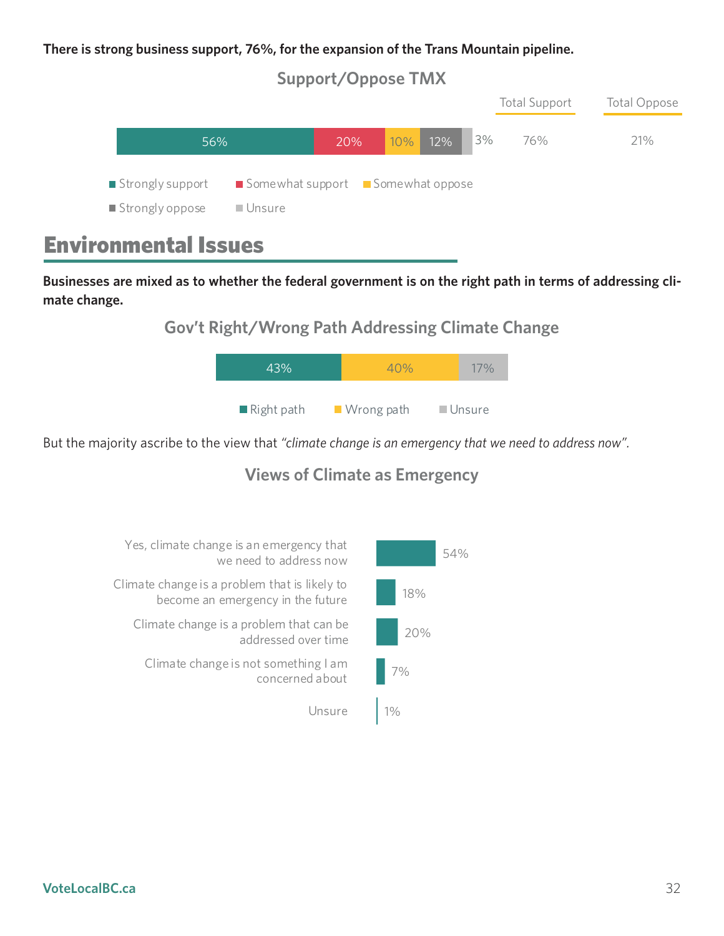#### **There is strong business support, 76%, for the expansion of the Trans Mountain pipeline.**





### Environmental Issues

Businesses are mixed as to whether the federal government is on the right path in terms of addressing cli**mate change.** 

### **Gov't Right/Wrong Path Addressing Climate Change**



But the majority ascribe to the view that *"climate change is an emergency that we need to address now".* 

### **Views of Climate as Emergency**

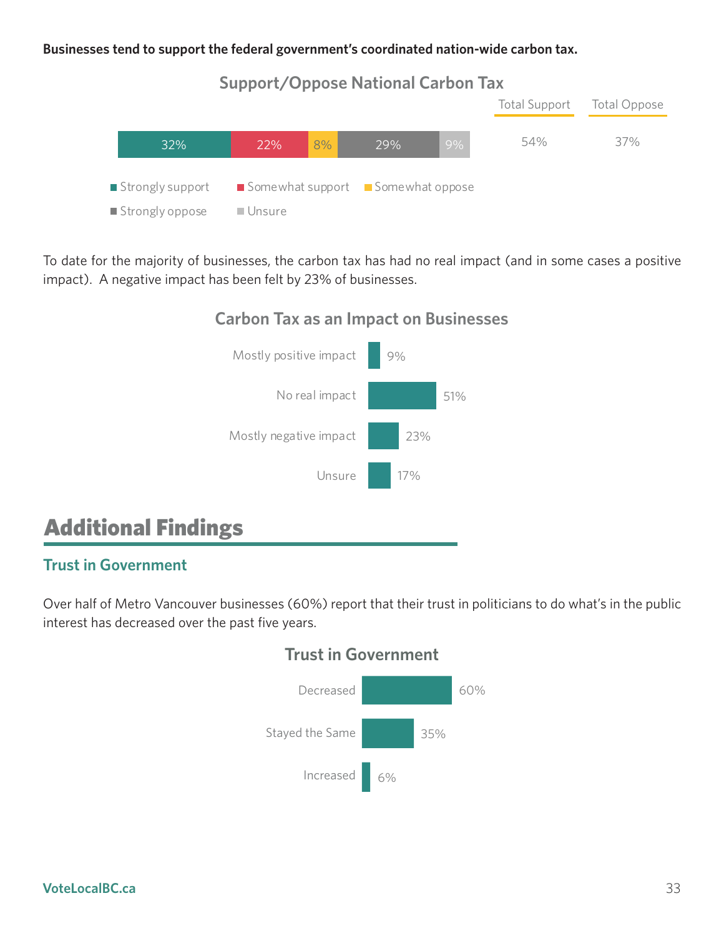#### **Businesses tend to support the federal government's coordinated nation-wide carbon tax.**



To date for the majority of businesses, the carbon tax has had no real impact (and in some cases a positive impact). A negative impact has been felt by 23% of businesses.

#### **Carbon Tax as an Impact on Businesses**



### Additional Findings

#### **Trust in Government**

Over half of Metro Vancouver businesses (60%) report that their trust in politicians to do what's in the public interest has decreased over the past five years.